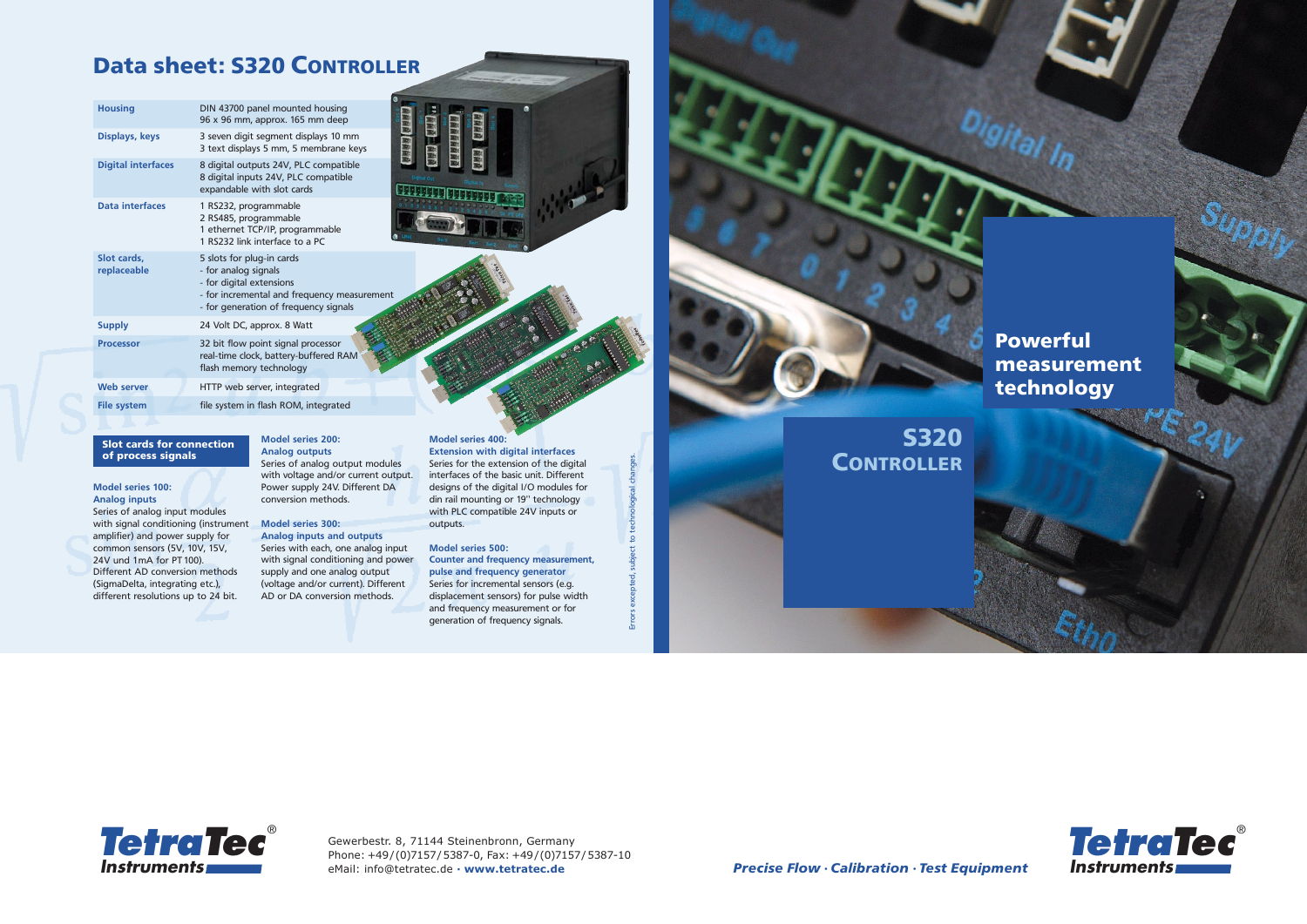*Precise Flow · Calibration · Test Equipment*







### Data sheet: S320 CONTROLLER

Errors excepted, subject to technological changes.

#### **Model series 100: Analog inputs**

Series of analog input modules with signal conditioning (instrument amplifier) and power supply for common sensors (5V, 10V, 15V, 24V und 1mA for PT 100). Different AD conversion methods (SigmaDelta, integrating etc.), different resolutions up to 24 bit.

### **Model series 200: Analog outputs**

Series of analog output modules with voltage and/or current output. Power supply 24V. Different DA conversion methods.

### **Model series 300:**

**Analog inputs and outputs** Series with each, one analog input with signal conditioning and power supply and one analog output (voltage and/or current). Different AD or DA conversion methods.

#### **Model series 400:**

**Extension with digital interfaces** Series for the extension of the digital interfaces of the basic unit. Different designs of the digital I/O modules for din rail mounting or 19'' technology with PLC compatible 24V inputs or outputs.

#### **Model series 500:**

**Counter and frequency measurement, pulse and frequency generator** Series for incremental sensors (e.g. displacement sensors) for pulse width and frequency measurement or for generation of frequency signals.

### Slot cards for connection of process signals

| <b>Housing</b>             | DIN 43700 panel mounted housing<br>96 x 96 mm, approx. 165 mm deep                                                                                                    |
|----------------------------|-----------------------------------------------------------------------------------------------------------------------------------------------------------------------|
| Displays, keys             | 3 seven digit segment displays 10 mm<br>3 text displays 5 mm, 5 membrane keys                                                                                         |
| <b>Digital interfaces</b>  | 8 digital outputs 24V, PLC compatible<br>8 digital inputs 24V, PLC compatible<br>expandable with slot cards                                                           |
| <b>Data interfaces</b>     | 1 RS232, programmable<br>2 RS485, programmable<br>1 ethernet TCP/IP, programmable<br>1 RS232 link interface to a PC                                                   |
| Slot cards.<br>replaceable | 5 slots for plug-in cards<br>- for analog signals<br>- for digital extensions<br>- for incremental and frequency measurement<br>- for generation of frequency signals |
| <b>Supply</b>              | 24 Volt DC, approx. 8 Watt                                                                                                                                            |
| <b>Processor</b>           | 32 bit flow point signal processor<br>real-time clock, battery-buffered RAM<br>flash memory technology                                                                |
| <b>Web server</b>          | HTTP web server, integrated                                                                                                                                           |
| <b>File system</b>         | file system in flash ROM, integrated                                                                                                                                  |
|                            |                                                                                                                                                                       |

### Powerful measurement technology

Gewerbestr. 8, 71144 Steinenbronn, Germany Phone: +49/(0)7157/5387-0, Fax: +49/(0)7157/5387-10 eMail: info@tetratec.de **∙ www.tetratec.de**